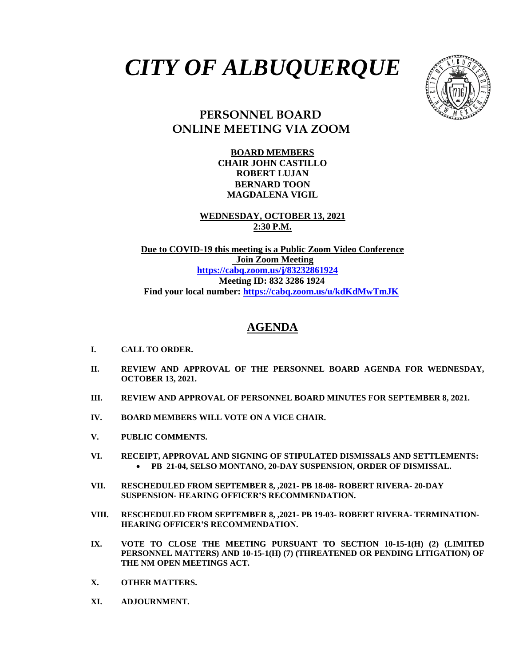



## **PERSONNEL BOARD ONLINE MEETING VIA ZOOM**

**BOARD MEMBERS CHAIR JOHN CASTILLO ROBERT LUJAN BERNARD TOON MAGDALENA VIGIL**

**WEDNESDAY, OCTOBER 13, 2021 2:30 P.M.**

**Due to COVID-19 this meeting is a Public Zoom Video Conference Join Zoom Meeting <https://cabq.zoom.us/j/83232861924> Meeting ID: 832 3286 1924 Find your local number:<https://cabq.zoom.us/u/kdKdMwTmJK>**

## **AGENDA**

- **I. CALL TO ORDER.**
- **II. REVIEW AND APPROVAL OF THE PERSONNEL BOARD AGENDA FOR WEDNESDAY, OCTOBER 13, 2021.**
- **III. REVIEW AND APPROVAL OF PERSONNEL BOARD MINUTES FOR SEPTEMBER 8, 2021.**
- **IV. BOARD MEMBERS WILL VOTE ON A VICE CHAIR.**
- **V. PUBLIC COMMENTS.**
- **VI. RECEIPT, APPROVAL AND SIGNING OF STIPULATED DISMISSALS AND SETTLEMENTS:** • **PB 21-04, SELSO MONTANO, 20-DAY SUSPENSION, ORDER OF DISMISSAL.**
- **VII. RESCHEDULED FROM SEPTEMBER 8, ,2021- PB 18-08- ROBERT RIVERA- 20-DAY SUSPENSION- HEARING OFFICER'S RECOMMENDATION.**
- **VIII. RESCHEDULED FROM SEPTEMBER 8, ,2021- PB 19-03- ROBERT RIVERA- TERMINATION-HEARING OFFICER'S RECOMMENDATION.**
- **IX. VOTE TO CLOSE THE MEETING PURSUANT TO SECTION 10-15-1(H) (2) (LIMITED PERSONNEL MATTERS) AND 10-15-1(H) (7) (THREATENED OR PENDING LITIGATION) OF THE NM OPEN MEETINGS ACT.**
- **X. OTHER MATTERS.**
- **XI. ADJOURNMENT.**